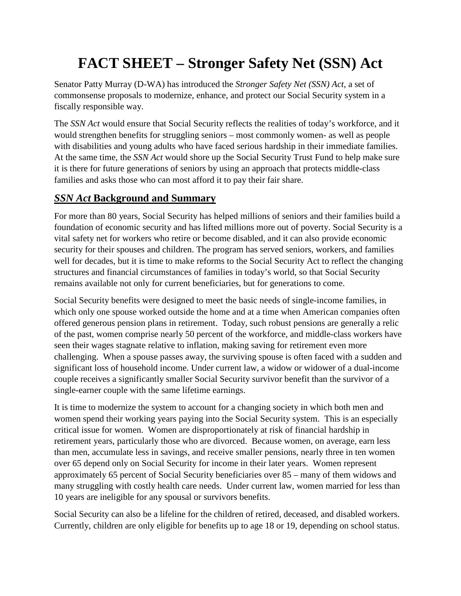## **FACT SHEET – Stronger Safety Net (SSN) Act**

Senator Patty Murray (D-WA) has introduced the *Stronger Safety Net (SSN) Act*, a set of commonsense proposals to modernize, enhance, and protect our Social Security system in a fiscally responsible way.

The *SSN Act* would ensure that Social Security reflects the realities of today's workforce, and it would strengthen benefits for struggling seniors – most commonly women- as well as people with disabilities and young adults who have faced serious hardship in their immediate families. At the same time, the *SSN Act* would shore up the Social Security Trust Fund to help make sure it is there for future generations of seniors by using an approach that protects middle-class families and asks those who can most afford it to pay their fair share.

## *SSN Act* **Background and Summary**

For more than 80 years, Social Security has helped millions of seniors and their families build a foundation of economic security and has lifted millions more out of poverty. Social Security is a vital safety net for workers who retire or become disabled, and it can also provide economic security for their spouses and children. The program has served seniors, workers, and families well for decades, but it is time to make reforms to the Social Security Act to reflect the changing structures and financial circumstances of families in today's world, so that Social Security remains available not only for current beneficiaries, but for generations to come.

Social Security benefits were designed to meet the basic needs of single-income families, in which only one spouse worked outside the home and at a time when American companies often offered generous pension plans in retirement. Today, such robust pensions are generally a relic of the past, women comprise nearly 50 percent of the workforce, and middle-class workers have seen their wages stagnate relative to inflation, making saving for retirement even more challenging. When a spouse passes away, the surviving spouse is often faced with a sudden and significant loss of household income. Under current law, a widow or widower of a dual-income couple receives a significantly smaller Social Security survivor benefit than the survivor of a single-earner couple with the same lifetime earnings.

It is time to modernize the system to account for a changing society in which both men and women spend their working years paying into the Social Security system. This is an especially critical issue for women. Women are disproportionately at risk of financial hardship in retirement years, particularly those who are divorced. Because women, on average, earn less than men, accumulate less in savings, and receive smaller pensions, nearly three in ten women over 65 depend only on Social Security for income in their later years. Women represent approximately 65 percent of Social Security beneficiaries over 85 – many of them widows and many struggling with costly health care needs. Under current law, women married for less than 10 years are ineligible for any spousal or survivors benefits.

Social Security can also be a lifeline for the children of retired, deceased, and disabled workers. Currently, children are only eligible for benefits up to age 18 or 19, depending on school status.